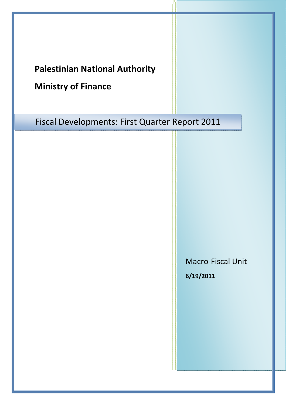## **Palestinian National Authority**

# **Ministry of Finance**

Fiscal Developments: First Quarter Report 2011

Macro‐Fiscal Unit **6/19/2011**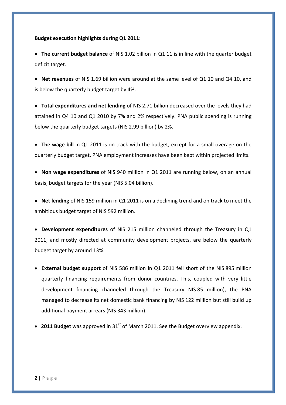#### **Budget execution highlights during Q1 2011:**

• **The current budget balance** of NIS 1.02 billion in Q1 11 is in line with the quarter budget deficit target.

• **Net revenues** of NIS 1.69 billion were around at the same level of Q1 10 and Q4 10, and is below the quarterly budget target by 4%.

• **Total expenditures and net lending** of NIS 2.71 billion decreased over the levels they had attained in Q4 10 and Q1 2010 by 7% and 2% respectively. PNA public spending is running below the quarterly budget targets (NIS 2.99 billion) by 2%.

• **The wage bill** in Q1 2011 is on track with the budget, except for a small overage on the quarterly budget target. PNA employment increases have been kept within projected limits.

• **Non wage expenditures** of NIS 940 million in Q1 2011 are running below, on an annual basis, budget targets for the year (NIS 5.04 billion).

• **Net lending** of NIS 159 million in Q1 2011 is on a declining trend and on track to meet the ambitious budget target of NIS 592 million.

• **Development expenditures** of NIS 215 million channeled through the Treasury in Q1 2011, and mostly directed at community development projects, are below the quarterly budget target by around 13%.

- **External budget support** of NIS 586 million in Q1 2011 fell short of the NIS 895 million quarterly financing requirements from donor countries. This, coupled with very little development financing channeled through the Treasury NIS 85 million), the PNA managed to decrease its net domestic bank financing by NIS 122 million but still build up additional payment arrears (NIS 343 million).
- 2011 Budget was approved in 31<sup>st</sup> of March 2011. See the Budget overview appendix.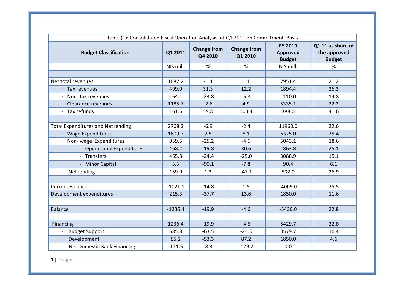| Table (1): Consolidated Fiscal Operation Analysis of Q1 2011 on Commitment Basis |           |                               |                               |                                                    |                                                    |
|----------------------------------------------------------------------------------|-----------|-------------------------------|-------------------------------|----------------------------------------------------|----------------------------------------------------|
| <b>Budget Classification</b>                                                     | Q1 2011   | <b>Change from</b><br>Q4 2010 | <b>Change from</b><br>Q1 2010 | <b>FY 2010</b><br><b>Approved</b><br><b>Budget</b> | Q1 11 as share of<br>the approved<br><b>Budget</b> |
|                                                                                  | NIS mill. | %                             | %                             | NIS mill.                                          | %                                                  |
|                                                                                  |           |                               |                               |                                                    |                                                    |
| Net total revenues                                                               | 1687.2    | $-1.4$                        | 1.1                           | 7951.4                                             | 21.2                                               |
| $\cdot$ Tax revenues                                                             | 499.0     | 31.3                          | 12.2                          | 1894.4                                             | 26.3                                               |
| $\cdot$ Non-tax revenues                                                         | 164.1     | $-23.8$                       | $-5.8$                        | 1110.0                                             | 14.8                                               |
| Clearance revenues                                                               | 1185.7    | $-2.6$                        | 4.9                           | 5335.1                                             | 22.2                                               |
| Tax refunds                                                                      | 161.6     | 59.8                          | 103.4                         | 388.0                                              | 41.6                                               |
|                                                                                  |           |                               |                               |                                                    |                                                    |
| <b>Total Expenditures and Net lending</b>                                        | 2708.2    | $-6.9$                        | $-2.4$                        | 11960.0                                            | 22.6                                               |
| · Wage Expenditures                                                              | 1609.7    | 7.5                           | 8.1                           | 6325.0                                             | 25.4                                               |
| · Non-wage Expenditures                                                          | 939.5     | $-25.2$                       | $-4.6$                        | 5043.1                                             | 18.6                                               |
| - Operational Expenditures                                                       | 468.2     | $-19.8$                       | 30.6                          | 1863.8                                             | 25.1                                               |
| - Transfers                                                                      | 465.8     | $-24.4$                       | $-25.0$                       | 3088.9                                             | 15.1                                               |
| - Minor Capital                                                                  | 5.5       | $-90.1$                       | $-7.8$                        | 90.4                                               | 6.1                                                |
| Net lending                                                                      | 159.0     | 1.3                           | $-47.1$                       | 592.0                                              | 26.9                                               |
|                                                                                  |           |                               |                               |                                                    |                                                    |
| <b>Current Balance</b>                                                           | $-1021.1$ | $-14.8$                       | 1.5                           | $-4009.0$                                          | 25.5                                               |
| Development expenditures                                                         | 215.3     | $-37.7$                       | 13.6                          | 1850.0                                             | 11.6                                               |
|                                                                                  |           |                               |                               |                                                    |                                                    |
| <b>Balance</b>                                                                   | $-1236.4$ | $-19.9$                       | $-4.6$                        | $-5430.0$                                          | 22.8                                               |
|                                                                                  |           |                               |                               |                                                    |                                                    |
| Financing                                                                        | 1236.4    | $-19.9$                       | $-4.6$                        | 5429.7                                             | 22.8                                               |
| <b>Budget Support</b>                                                            | 585.8     | $-63.5$                       | $-24.3$                       | 3579.7                                             | 16.4                                               |
| Development                                                                      | 85.2      | $-53.3$                       | 87.2                          | 1850.0                                             | 4.6                                                |
| Net Domestic Bank Financing                                                      | $-121.5$  | $-8.3$                        | $-129.2$                      | 0.0                                                |                                                    |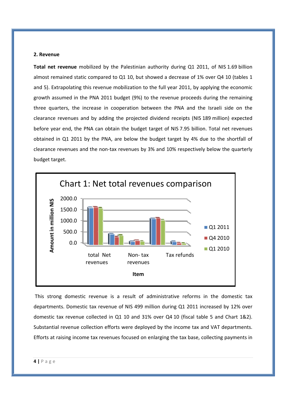#### **2. Revenue**

**Total net revenue** mobilized by the Palestinian authority during Q1 2011, of NIS 1.69 billion almost remained static compared to Q1 10, but showed a decrease of 1% over Q4 10 (tables 1 and 5). Extrapolating this revenue mobilization to the full year 2011, by applying the economic growth assumed in the PNA 2011 budget (9%) to the revenue proceeds during the remaining three quarters, the increase in cooperation between the PNA and the Israeli side on the clearance revenues and by adding the projected dividend receipts (NIS 189 million) expected before year end, the PNA can obtain the budget target of NIS 7.95 billion. Total net revenues obtained in Q1 2011 by the PNA, are below the budget target by 4% due to the shortfall of clearance revenues and the non‐tax revenues by 3% and 10% respectively below the quarterly budget target.



This strong domestic revenue is a result of administrative reforms in the domestic tax departments. Domestic tax revenue of NIS 499 million during Q1 2011 increased by 12% over domestic tax revenue collected in Q1 10 and 31% over Q4 10 (fiscal table 5 and Chart 1&2). Substantial revenue collection efforts were deployed by the income tax and VAT departments. Efforts at raising income tax revenues focused on enlarging the tax base, collecting payments in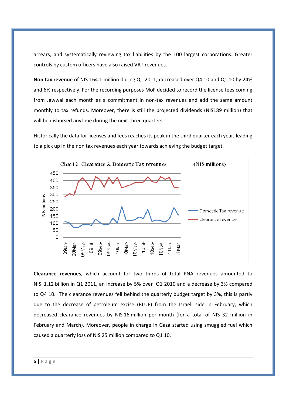arrears, and systematically reviewing tax liabilities by the 100 largest corporations. Greater controls by custom officers have also raised VAT revenues.

**Non tax revenue** of NIS 164.1 million during Q1 2011, decreased over Q4 10 and Q1 10 by 24% and 6% respectively. For the recording purposes MoF decided to record the license fees coming from Jawwal each month as a commitment in non-tax revenues and add the same amount monthly to tax refunds. Moreover, there is still the projected dividends (NIS189 million) that will be disbursed anytime during the next three quarters.

Historically the data for licenses and fees reaches its peak in the third quarter each year, leading to a pick up in the non tax revenues each year towards achieving the budget target.



**Clearance revenues**, which account for two thirds of total PNA revenues amounted to NIS 1.12 billion in Q1 2011, an increase by 5% over Q1 2010 and a decrease by 3% compared to Q4 10. The clearance revenues fell behind the quarterly budget target by 3%, this is partly due to the decrease of petroleum excise (BLUE) from the Israeli side in February, which decreased clearance revenues by NIS 16 million per month (for a total of NIS 32 million in February and March). Moreover, people in charge in Gaza started using smuggled fuel which caused a quarterly loss of NIS 25 million compared to Q1 10.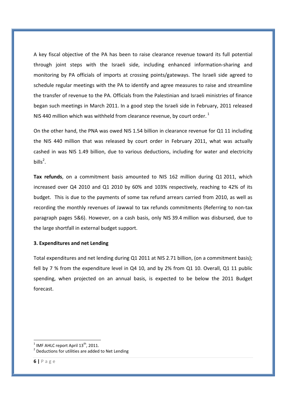A key fiscal objective of the PA has been to raise clearance revenue toward its full potential through joint steps with the Israeli side, including enhanced information‐sharing and monitoring by PA officials of imports at crossing points/gateways. The Israeli side agreed to schedule regular meetings with the PA to identify and agree measures to raise and streamline the transfer of revenue to the PA. Officials from the Palestinian and Israeli ministries of finance began such meetings in March 2011. In a good step the Israeli side in February, 2011 released NIS 440 million which was withheld from clearance revenue, by court order.<sup>1</sup>

On the other hand, the PNA was owed NIS 1.54 billion in clearance revenue for Q1 11 including the NIS 440 million that was released by court order in February 2011, what was actually cashed in was NIS 1.49 billion, due to various deductions, including for water and electricity bills<sup>2</sup>.

**Tax refunds**, on a commitment basis amounted to NIS 162 million during Q1 2011, which increased over Q4 2010 and Q1 2010 by 60% and 103% respectively, reaching to 42% of its budget. This is due to the payments of some tax refund arrears carried from 2010, as well as recording the monthly revenues of Jawwal to tax refunds commitments (Referring to non‐tax paragraph pages 5&6). However, on a cash basis, only NIS 39.4 million was disbursed, due to the large shortfall in external budget support.

### **3. Expenditures and net Lending**

Total expenditures and net lending during Q1 2011 at NIS 2.71 billion, (on a commitment basis); fell by 7 % from the expenditure level in Q4 10, and by 2% from Q1 10. Overall, Q1 11 public spending, when projected on an annual basis, is expected to be below the 2011 Budget forecast.

 $1$  IMF AHLC report April  $13<sup>th</sup>$ , 2011.

 $2$  Deductions for utilities are added to Net Lending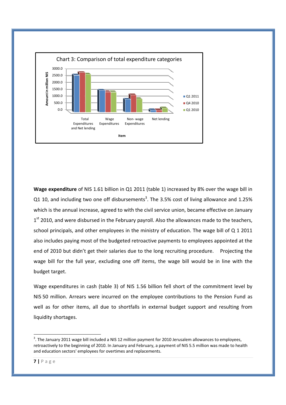

**Wage expenditure** of NIS 1.61 billion in Q1 2011 (table 1) increased by 8% over the wage bill in Q1 10, and including two one off disbursements<sup>3</sup>. The 3.5% cost of living allowance and 1.25% which is the annual increase, agreed to with the civil service union, became effective on January  $1<sup>st</sup>$  2010, and were disbursed in the February payroll. Also the allowances made to the teachers, school principals, and other employees in the ministry of education. The wage bill of Q 1 2011 also includes paying most of the budgeted retroactive payments to employees appointed at the end of 2010 but didn't get their salaries due to the long recruiting procedure. Projecting the wage bill for the full year, excluding one off items, the wage bill would be in line with the budget target.

Wage expenditures in cash (table 3) of NIS 1.56 billion fell short of the commitment level by NIS 50 million. Arrears were incurred on the employee contributions to the Pension Fund as well as for other items, all due to shortfalls in external budget support and resulting from liquidity shortages.

 $3$ . The January 2011 wage bill included a NIS 12 million payment for 2010 Jerusalem allowances to employees, retroactively to the beginning of 2010. In January and February, a payment of NIS 5.5 million was made to health and education sectors' employees for overtimes and replacements.

**<sup>7</sup> |** Page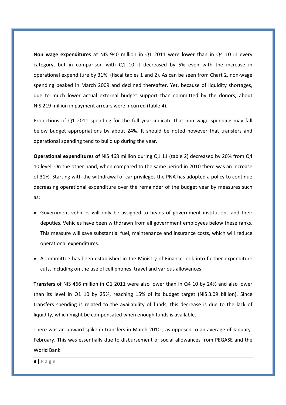**Non wage expenditures** at NIS 940 million in Q1 2011 were lower than in Q4 10 in every category, but in comparison with Q1 10 it decreased by 5% even with the increase in operational expenditure by 31% (fiscal tables 1 and 2). As can be seen from Chart 2, non‐wage spending peaked in March 2009 and declined thereafter. Yet, because of liquidity shortages, due to much lower actual external budget support than committed by the donors, about NIS 219 million in payment arrears were incurred (table 4).

Projections of Q1 2011 spending for the full year indicate that non wage spending may fall below budget appropriations by about 24%. It should be noted however that transfers and operational spending tend to build up during the year.

**Operational expenditures of** NIS 468 million during Q1 11 (table 2) decreased by 20% from Q4 10 level. On the other hand, when compared to the same period in 2010 there was an increase of 31%. Starting with the withdrawal of car privileges the PNA has adopted a policy to continue decreasing operational expenditure over the remainder of the budget year by measures such as:

- Government vehicles will only be assigned to heads of government institutions and their deputies. Vehicles have been withdrawn from all government employees below these ranks. This measure will save substantial fuel, maintenance and insurance costs, which will reduce operational expenditures.
- A committee has been established in the Ministry of Finance look into further expenditure cuts, including on the use of cell phones, travel and various allowances.

**Transfers** of NIS 466 million in Q1 2011 were also lower than in Q4 10 by 24% and also lower than its level in Q1 10 by 25%, reaching 15% of its budget target (NIS 3.09 billion). Since transfers spending is related to the availability of funds, this decrease is due to the lack of liquidity, which might be compensated when enough funds is available.

There was an upward spike in transfers in March 2010 , as opposed to an average of January‐ February. This was essentially due to disbursement of social allowances from PEGASE and the World Bank.

**8 |** Page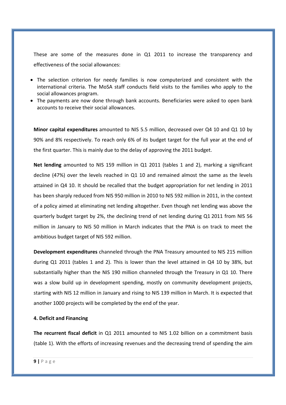These are some of the measures done in Q1 2011 to increase the transparency and effectiveness of the social allowances:

- The selection criterion for needy families is now computerized and consistent with the international criteria. The MoSA staff conducts field visits to the families who apply to the social allowances program.
- The payments are now done through bank accounts. Beneficiaries were asked to open bank accounts to receive their social allowances.

**Minor capital expenditures** amounted to NIS 5.5 million, decreased over Q4 10 and Q1 10 by 90% and 8% respectively. To reach only 6% of its budget target for the full year at the end of the first quarter. This is mainly due to the delay of approving the 2011 budget.

**Net lending** amounted to NIS 159 million in Q1 2011 (tables 1 and 2), marking a significant decline (47%) over the levels reached in Q1 10 and remained almost the same as the levels attained in Q4 10. It should be recalled that the budget appropriation for net lending in 2011 has been sharply reduced from NIS 950 million in 2010 to NIS 592 million in 2011, in the context of a policy aimed at eliminating net lending altogether. Even though net lending was above the quarterly budget target by 2%, the declining trend of net lending during Q1 2011 from NIS 56 million in January to NIS 50 million in March indicates that the PNA is on track to meet the ambitious budget target of NIS 592 million.

**Development expenditures** channeled through the PNA Treasury amounted to NIS 215 million during Q1 2011 (tables 1 and 2). This is lower than the level attained in Q4 10 by 38%, but substantially higher than the NIS 190 million channeled through the Treasury in Q1 10. There was a slow build up in development spending, mostly on community development projects, starting with NIS 12 million in January and rising to NIS 139 million in March. It is expected that another 1000 projects will be completed by the end of the year.

### **4. Deficit and Financing**

**The recurrent fiscal deficit** in Q1 2011 amounted to NIS 1.02 billion on a commitment basis (table 1). With the efforts of increasing revenues and the decreasing trend of spending the aim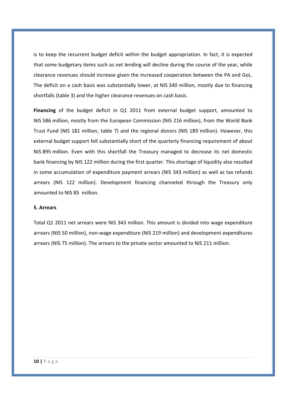is to keep the recurrent budget deficit within the budget appropriation. In fact, it is expected that some budgetary items such as net lending will decline during the course of the year, while clearance revenues should increase given the increased cooperation between the PA and GoL. The deficit on a cash basis was substantially lower, at NIS 340 million, mostly due to financing shortfalls (table 3) and the higher clearance revenues on cash basis.

Financing of the budget deficit in Q1 2011 from external budget support, amounted to NIS 586 million, mostly from the European Commission (NIS 216 million), from the World Bank Trust Fund (NIS 181 million, table 7) and the regional donors (NIS 189 million). However, this external budget support fell substantially short of the quarterly financing requirement of about NIS 895 million. Even with this shortfall the Treasury managed to decrease its net domestic bank financing by NIS 122 million during the first quarter. This shortage of liquidity also resulted in some accumulation of expenditure payment arrears (NIS 343 million) as well as tax refunds arrears (NIS 122 million). Development financing channeled through the Treasury only amounted to NIS 85 million.

#### **5. Arrears**

Total Q1 2011 net arrears were NIS 343 million. This amount is divided into wage expenditure arrears (NIS 50 million), non‐wage expenditure (NIS 219 million) and development expenditures arrears (NIS 75 million). The arrears to the private sector amounted to NIS 211 million.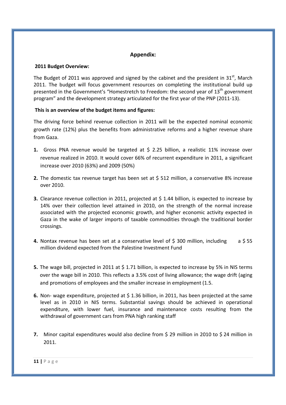## **Appendix:**

#### **2011 Budget Overview:**

The Budget of 2011 was approved and signed by the cabinet and the president in 31 $^{\rm st}$ . March 2011. The budget will focus government resources on completing the institutional build up presented in the Government's "Homestretch to Freedom: the second year of  $13<sup>th</sup>$  government program" and the development strategy articulated for the first year of the PNP (2011‐13).

### **This is an overview of the budget items and figures:**

The driving force behind revenue collection in 2011 will be the expected nominal economic growth rate (12%) plus the benefits from administrative reforms and a higher revenue share from Gaza.

- **1.** Gross PNA revenue would be targeted at \$ 2.25 billion, a realistic 11% increase over revenue realized in 2010. It would cover 66% of recurrent expenditure in 2011, a significant increase over 2010 (63%) and 2009 (50%)
- **2.** The domestic tax revenue target has been set at \$ 512 million, a conservative 8% increase over 2010.
- **3.** Clearance revenue collection in 2011, projected at \$ 1.44 billion, is expected to increase by 14% over their collection level attained in 2010, on the strength of the normal increase associated with the projected economic growth, and higher economic activity expected in Gaza in the wake of larger imports of taxable commodities through the traditional border crossings.
- **4.** Nontax revenue has been set at a conservative level of \$300 million, including a \$55 million dividend expected from the Palestine Investment Fund
- **5.** The wage bill, projected in 2011 at \$ 1.71 billion, is expected to increase by 5% in NIS terms over the wage bill in 2010. This reflects a 3.5% cost of living allowance; the wage drift (aging and promotions of employees and the smaller increase in employment (1.5.
- **6.** Non- wage expenditure, projected at \$1.36 billion, in 2011, has been projected at the same level as in 2010 in NIS terms. Substantial savings should be achieved in operational expenditure, with lower fuel, insurance and maintenance costs resulting from the withdrawal of government cars from PNA high ranking staff
- **7.** Minor capital expenditures would also decline from \$ 29 million in 2010 to \$ 24 million in 2011.